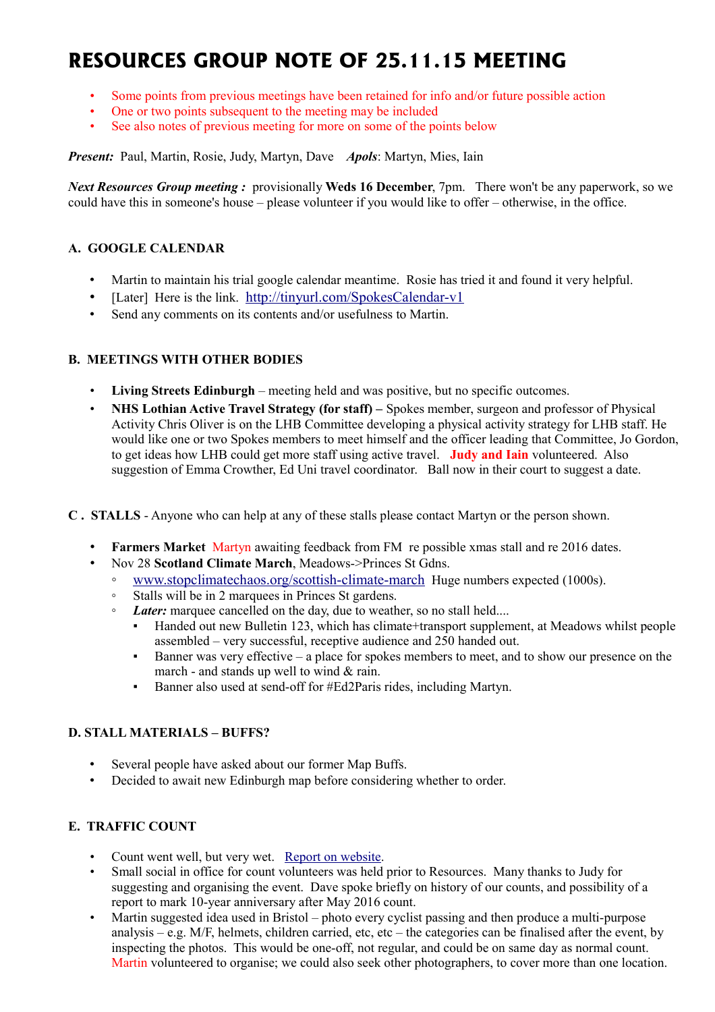# **RESOURCES GROUP NOTE OF 25.11.15 MEETING**

- Some points from previous meetings have been retained for info and/or future possible action
- One or two points subsequent to the meeting may be included
- See also notes of previous meeting for more on some of the points below

*Present:* Paul, Martin, Rosie, Judy, Martyn, Dave *Apols*: Martyn, Mies, Iain

*Next Resources Group meeting :* provisionally **Weds 16 December**, 7pm. There won't be any paperwork, so we could have this in someone's house – please volunteer if you would like to offer – otherwise, in the office.

# **A. GOOGLE CALENDAR**

- Martin to maintain his trial google calendar meantime. Rosie has tried it and found it very helpful.
- [Later] Here is the link. <http://tinyurl.com/SpokesCalendar-v1>
- Send any comments on its contents and/or usefulness to Martin.

# **B. MEETINGS WITH OTHER BODIES**

- **Living Streets Edinburgh** meeting held and was positive, but no specific outcomes.
- **NHS Lothian Active Travel Strategy (for staff) –** Spokes member, surgeon and professor of Physical Activity Chris Oliver is on the LHB Committee developing a physical activity strategy for LHB staff. He would like one or two Spokes members to meet himself and the officer leading that Committee, Jo Gordon, to get ideas how LHB could get more staff using active travel. **Judy and Iain** volunteered. Also suggestion of Emma Crowther, Ed Uni travel coordinator. Ball now in their court to suggest a date.
- **C . STALLS** Anyone who can help at any of these stalls please contact Martyn or the person shown.
	- **Farmers Market** Martyn awaiting feedback from FM re possible xmas stall and re 2016 dates.
		- Nov 28 **Scotland Climate March**, Meadows->Princes St Gdns.
			- [www.stopclimatechaos.org/scottish-climate-march](http://www.stopclimatechaos.org/scottish-climate-march) Huge numbers expected (1000s).
			- Stalls will be in 2 marquees in Princes St gardens.
			- *Later:* marquee cancelled on the day, due to weather, so no stall held....
				- Handed out new Bulletin 123, which has climate+transport supplement, at Meadows whilst people assembled – very successful, receptive audience and 250 handed out.
				- Banner was very effective a place for spokes members to meet, and to show our presence on the march - and stands up well to wind & rain.
				- Banner also used at send-off for #Ed2Paris rides, including Martyn.

# **D. STALL MATERIALS – BUFFS?**

- Several people have asked about our former Map Buffs.
- Decided to await new Edinburgh map before considering whether to order.

# **E. TRAFFIC COUNT**

- Count went well, but very wet. [Report on website.](http://www.spokes.org.uk/2015/11/cycling-and-driving-in-the-rain/)
- Small social in office for count volunteers was held prior to Resources. Many thanks to Judy for suggesting and organising the event. Dave spoke briefly on history of our counts, and possibility of a report to mark 10-year anniversary after May 2016 count.
- Martin suggested idea used in Bristol photo every cyclist passing and then produce a multi-purpose analysis – e.g. M/F, helmets, children carried, etc, etc – the categories can be finalised after the event, by inspecting the photos. This would be one-off, not regular, and could be on same day as normal count. Martin volunteered to organise; we could also seek other photographers, to cover more than one location.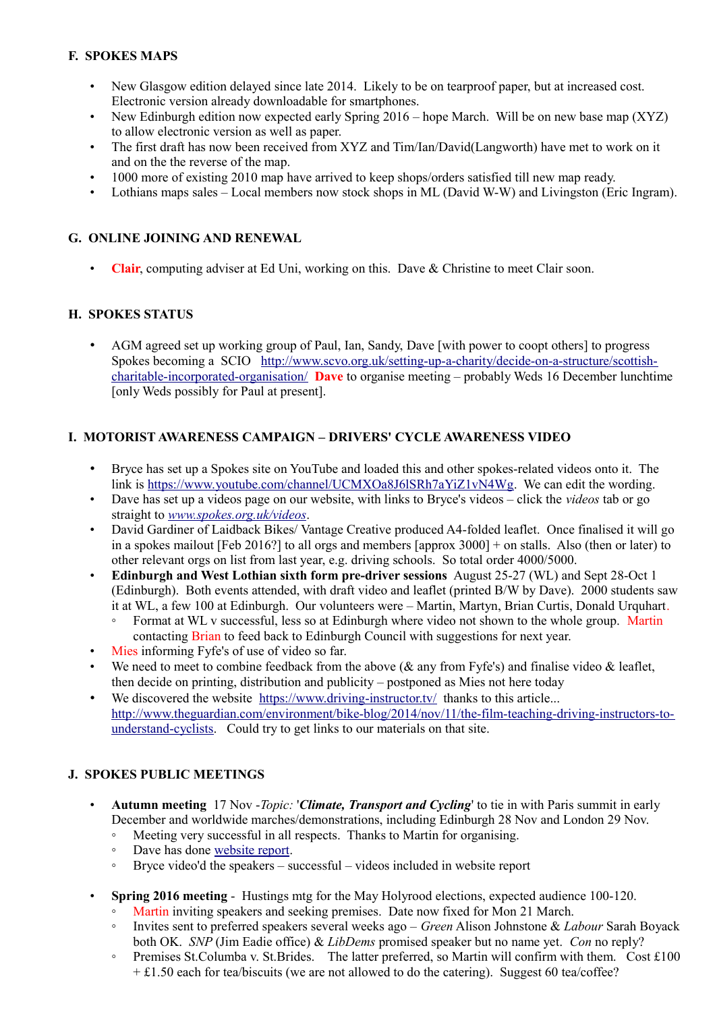# **F. SPOKES MAPS**

- New Glasgow edition delayed since late 2014. Likely to be on tearproof paper, but at increased cost. Electronic version already downloadable for smartphones.
- New Edinburgh edition now expected early Spring 2016 hope March. Will be on new base map (XYZ) to allow electronic version as well as paper.
- The first draft has now been received from XYZ and Tim/Ian/David(Langworth) have met to work on it and on the the reverse of the map.
- 1000 more of existing 2010 map have arrived to keep shops/orders satisfied till new map ready.
- Lothians maps sales Local members now stock shops in ML (David W-W) and Livingston (Eric Ingram).

#### **G. ONLINE JOINING AND RENEWAL**

• **Clair**, computing adviser at Ed Uni, working on this. Dave & Christine to meet Clair soon.

#### **H. SPOKES STATUS**

• AGM agreed set up working group of Paul, Ian, Sandy, Dave [with power to coopt others] to progress Spokes becoming a SCIO [http://www.scvo.org.uk/setting-up-a-charity/decide-on-a-structure/scottish](http://www.scvo.org.uk/setting-up-a-charity/decide-on-a-structure/scottish-charitable-incorporated-organisation/)[charitable-incorporated-organisation/](http://www.scvo.org.uk/setting-up-a-charity/decide-on-a-structure/scottish-charitable-incorporated-organisation/) **Dave** to organise meeting – probably Weds 16 December lunchtime [only Weds possibly for Paul at present].

#### **I. MOTORIST AWARENESS CAMPAIGN – DRIVERS' CYCLE AWARENESS VIDEO**

- Bryce has set up a Spokes site on YouTube and loaded this and other spokes-related videos onto it. The link is [https://www.youtube.com/channel/UCMXOa8J6lSRh7aYiZ1vN4Wg.](https://www.youtube.com/channel/UCMXOa8J6lSRh7aYiZ1vN4Wg) We can edit the wording.
- Dave has set up a videos page on our website, with links to Bryce's videos click the *videos* tab or go straight to *[www.spokes.org.uk/videos](http://www.spokes.org.uk/videos)*.
- David Gardiner of Laidback Bikes/Vantage Creative produced A4-folded leaflet. Once finalised it will go in a spokes mailout [Feb 2016?] to all orgs and members [approx 3000] + on stalls. Also (then or later) to other relevant orgs on list from last year, e.g. driving schools. So total order 4000/5000.
- **Edinburgh and West Lothian sixth form pre-driver sessions** August 25-27 (WL) and Sept 28-Oct 1 (Edinburgh). Both events attended, with draft video and leaflet (printed B/W by Dave). 2000 students saw it at WL, a few 100 at Edinburgh. Our volunteers were – Martin, Martyn, Brian Curtis, Donald Urquhart.
	- Format at WL v successful, less so at Edinburgh where video not shown to the whole group. Martin contacting Brian to feed back to Edinburgh Council with suggestions for next year.
- Mies informing Fyfe's of use of video so far.
- We need to meet to combine feedback from the above ( $\&$  any from Fyfe's) and finalise video  $\&$  leaflet, then decide on printing, distribution and publicity – postponed as Mies not here today
- We discovered the website <https://www.driving-instructor.tv/>thanks to this article... [http://www.theguardian.com/environment/bike-blog/2014/nov/11/the-film-teaching-driving-instructors-to](http://www.theguardian.com/environment/bike-blog/2014/nov/11/the-film-teaching-driving-instructors-to-understand-cyclists)[understand-cyclists.](http://www.theguardian.com/environment/bike-blog/2014/nov/11/the-film-teaching-driving-instructors-to-understand-cyclists) Could try to get links to our materials on that site.

# **J. SPOKES PUBLIC MEETINGS**

- **Autumn meeting** 17 Nov -*Topic:* '*Climate, Transport and Cycling*' to tie in with Paris summit in early December and worldwide marches/demonstrations, including Edinburgh 28 Nov and London 29 Nov.
	- Meeting very successful in all respects. Thanks to Martin for organising.
	- Dave has done [website report.](http://www.spokes.org.uk/2015/11/public-mtg-calls-for-fairer-funding/)
	- Bryce video'd the speakers successful videos included in website report
- **Spring 2016 meeting** Hustings mtg for the May Holyrood elections, expected audience 100-120.
	- Martin inviting speakers and seeking premises. Date now fixed for Mon 21 March.
	- Invites sent to preferred speakers several weeks ago *Green* Alison Johnstone & *Labour* Sarah Boyack both OK. *SNP* (Jim Eadie office) & *LibDems* promised speaker but no name yet. *Con* no reply?
	- Premises St.Columba v. St.Brides. The latter preferred, so Martin will confirm with them. Cost £100 + £1.50 each for tea/biscuits (we are not allowed to do the catering). Suggest 60 tea/coffee?